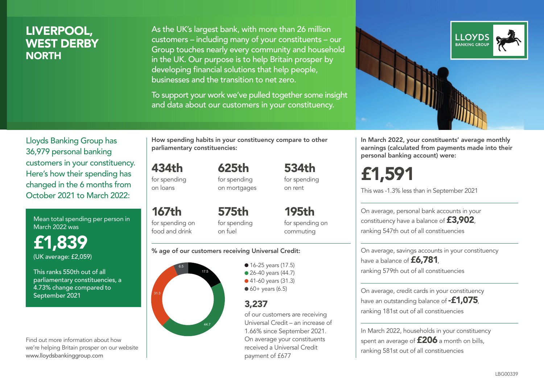# LIVERPOOL, WEST DERBY **NORTH**

As the UK's largest bank, with more than 26 million customers – including many of your constituents – our Group touches nearly every community and household in the UK. Our purpose is to help Britain prosper by developing financial solutions that help people, businesses and the transition to net zero.

To support your work we've pulled together some insight and data about our customers in your constituency.



In March 2022, your constituents' average monthly earnings (calculated from payments made into their personal banking account) were:

£1,591

This was -1.3% less than in September 2021

On average, personal bank accounts in your constituency have a balance of £3,902, ranking 547th out of all constituencies

On average, savings accounts in your constituency have a balance of £6,781. ranking 579th out of all constituencies

On average, credit cards in your constituency have an outstanding balance of  $-£1.075$ . ranking 181st out of all constituencies

In March 2022, households in your constituency spent an average of £206 a month on bills, ranking 581st out of all constituencies

Lloyds Banking Group has 36,979 personal banking customers in your constituency. Here's how their spending has changed in the 6 months from October 2021 to March 2022:

Mean total spending per person in March 2022 was

£1,839 (UK average: £2,059)

This ranks 550th out of all parliamentary constituencies, a 4.73% change compared to September 2021

Find out more information about how we're helping Britain prosper on our website www.lloydsbankinggroup.com

How spending habits in your constituency compare to other parliamentary constituencies:

625th

434th for spending on loans

167th

food and drink

for spending on mortgages

for spending on 575th for spending

195th for spending on commuting

534th for spending on rent

#### % age of our customers receiving Universal Credit:

on fuel



• 16-25 years (17.5) • 26-40 years (44.7) ● 41-60 years (31.3)  $60+$  years (6.5)

## 3,237

of our customers are receiving Universal Credit – an increase of 1.66% since September 2021. On average your constituents received a Universal Credit payment of £677